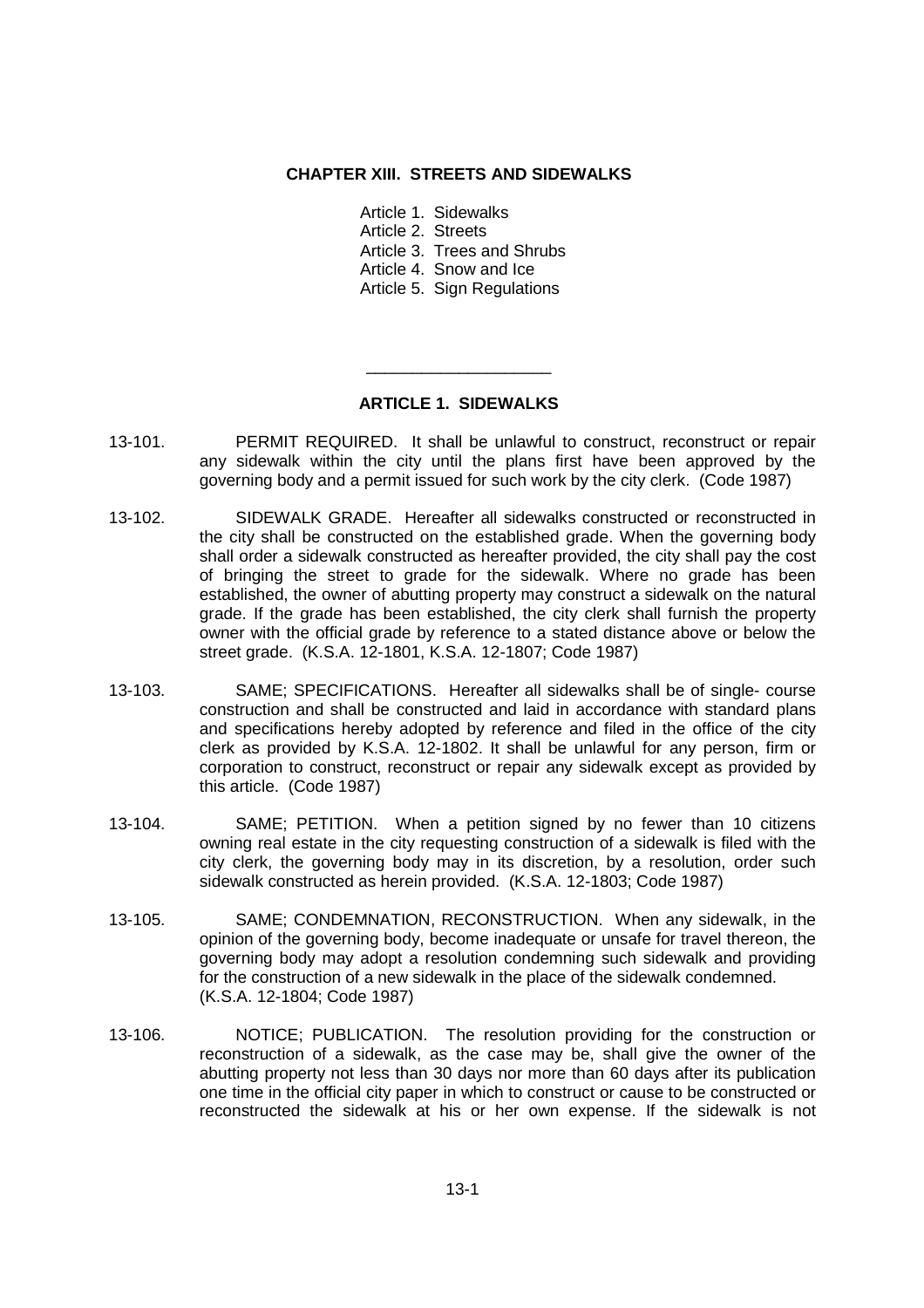### **CHAPTER XIII. STREETS AND SIDEWALKS**

- Article 1. Sidewalks
- Article 2. Streets
- Article 3. Trees and Shrubs
- Article 4. Snow and Ice
- Article 5. Sign Regulations

# **ARTICLE 1. SIDEWALKS**

\_\_\_\_\_\_\_\_\_\_\_\_\_\_\_\_\_\_\_\_

- 13-101. PERMIT REQUIRED. It shall be unlawful to construct, reconstruct or repair any sidewalk within the city until the plans first have been approved by the governing body and a permit issued for such work by the city clerk. (Code 1987)
- 13-102. SIDEWALK GRADE. Hereafter all sidewalks constructed or reconstructed in the city shall be constructed on the established grade. When the governing body shall order a sidewalk constructed as hereafter provided, the city shall pay the cost of bringing the street to grade for the sidewalk. Where no grade has been established, the owner of abutting property may construct a sidewalk on the natural grade. If the grade has been established, the city clerk shall furnish the property owner with the official grade by reference to a stated distance above or below the street grade. (K.S.A. 12-1801, K.S.A. 12-1807; Code 1987)
- 13-103. SAME; SPECIFICATIONS. Hereafter all sidewalks shall be of single- course construction and shall be constructed and laid in accordance with standard plans and specifications hereby adopted by reference and filed in the office of the city clerk as provided by K.S.A. 12-1802. It shall be unlawful for any person, firm or corporation to construct, reconstruct or repair any sidewalk except as provided by this article. (Code 1987)
- 13-104. SAME; PETITION. When a petition signed by no fewer than 10 citizens owning real estate in the city requesting construction of a sidewalk is filed with the city clerk, the governing body may in its discretion, by a resolution, order such sidewalk constructed as herein provided. (K.S.A. 12-1803; Code 1987)
- 13-105. SAME; CONDEMNATION, RECONSTRUCTION. When any sidewalk, in the opinion of the governing body, become inadequate or unsafe for travel thereon, the governing body may adopt a resolution condemning such sidewalk and providing for the construction of a new sidewalk in the place of the sidewalk condemned. (K.S.A. 12-1804; Code 1987)
- 13-106. NOTICE; PUBLICATION. The resolution providing for the construction or reconstruction of a sidewalk, as the case may be, shall give the owner of the abutting property not less than 30 days nor more than 60 days after its publication one time in the official city paper in which to construct or cause to be constructed or reconstructed the sidewalk at his or her own expense. If the sidewalk is not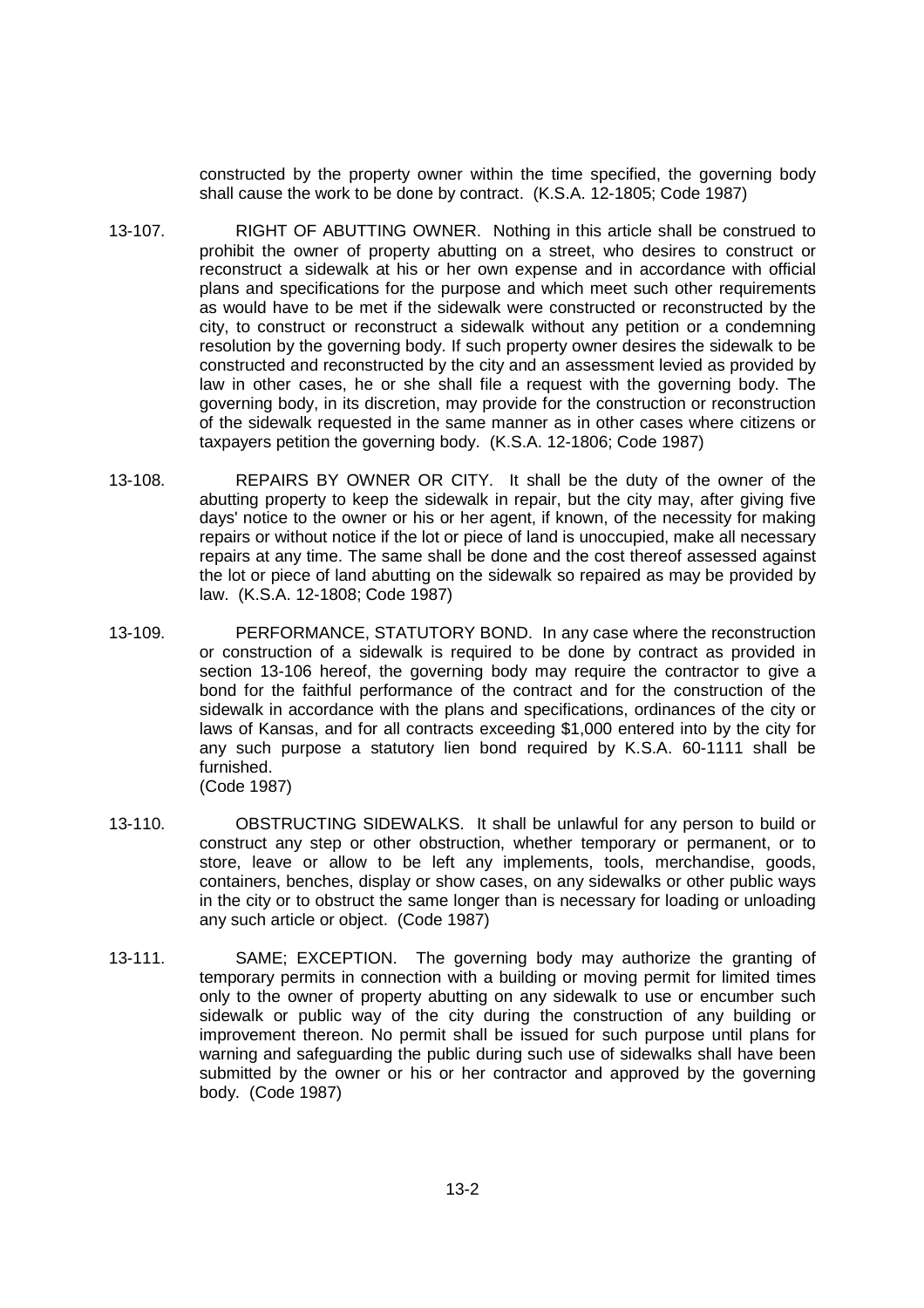constructed by the property owner within the time specified, the governing body shall cause the work to be done by contract. (K.S.A. 12-1805; Code 1987)

- 13-107. RIGHT OF ABUTTING OWNER. Nothing in this article shall be construed to prohibit the owner of property abutting on a street, who desires to construct or reconstruct a sidewalk at his or her own expense and in accordance with official plans and specifications for the purpose and which meet such other requirements as would have to be met if the sidewalk were constructed or reconstructed by the city, to construct or reconstruct a sidewalk without any petition or a condemning resolution by the governing body. If such property owner desires the sidewalk to be constructed and reconstructed by the city and an assessment levied as provided by law in other cases, he or she shall file a request with the governing body. The governing body, in its discretion, may provide for the construction or reconstruction of the sidewalk requested in the same manner as in other cases where citizens or taxpayers petition the governing body. (K.S.A. 12-1806; Code 1987)
- 13-108. REPAIRS BY OWNER OR CITY. It shall be the duty of the owner of the abutting property to keep the sidewalk in repair, but the city may, after giving five days' notice to the owner or his or her agent, if known, of the necessity for making repairs or without notice if the lot or piece of land is unoccupied, make all necessary repairs at any time. The same shall be done and the cost thereof assessed against the lot or piece of land abutting on the sidewalk so repaired as may be provided by law. (K.S.A. 12-1808; Code 1987)
- 13-109. PERFORMANCE, STATUTORY BOND. In any case where the reconstruction or construction of a sidewalk is required to be done by contract as provided in section 13-106 hereof, the governing body may require the contractor to give a bond for the faithful performance of the contract and for the construction of the sidewalk in accordance with the plans and specifications, ordinances of the city or laws of Kansas, and for all contracts exceeding \$1,000 entered into by the city for any such purpose a statutory lien bond required by K.S.A. 60-1111 shall be furnished. (Code 1987)
- 13-110. OBSTRUCTING SIDEWALKS. It shall be unlawful for any person to build or construct any step or other obstruction, whether temporary or permanent, or to store, leave or allow to be left any implements, tools, merchandise, goods, containers, benches, display or show cases, on any sidewalks or other public ways in the city or to obstruct the same longer than is necessary for loading or unloading any such article or object. (Code 1987)
- 13-111. SAME; EXCEPTION. The governing body may authorize the granting of temporary permits in connection with a building or moving permit for limited times only to the owner of property abutting on any sidewalk to use or encumber such sidewalk or public way of the city during the construction of any building or improvement thereon. No permit shall be issued for such purpose until plans for warning and safeguarding the public during such use of sidewalks shall have been submitted by the owner or his or her contractor and approved by the governing body. (Code 1987)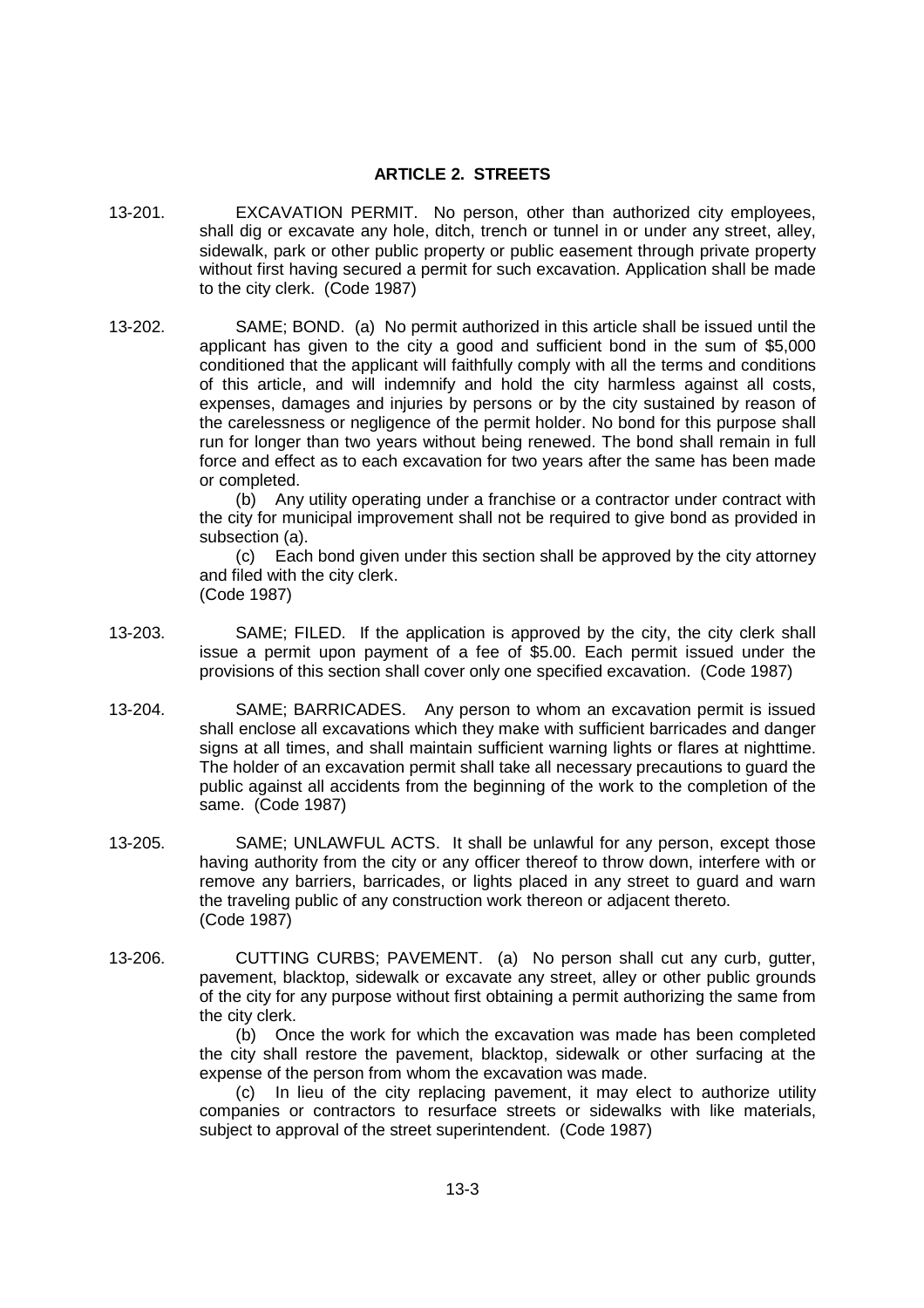### **ARTICLE 2. STREETS**

- 13-201. EXCAVATION PERMIT. No person, other than authorized city employees, shall dig or excavate any hole, ditch, trench or tunnel in or under any street, alley, sidewalk, park or other public property or public easement through private property without first having secured a permit for such excavation. Application shall be made to the city clerk. (Code 1987)
- 13-202. SAME; BOND. (a) No permit authorized in this article shall be issued until the applicant has given to the city a good and sufficient bond in the sum of \$5,000 conditioned that the applicant will faithfully comply with all the terms and conditions of this article, and will indemnify and hold the city harmless against all costs, expenses, damages and injuries by persons or by the city sustained by reason of the carelessness or negligence of the permit holder. No bond for this purpose shall run for longer than two years without being renewed. The bond shall remain in full force and effect as to each excavation for two years after the same has been made or completed.

(b) Any utility operating under a franchise or a contractor under contract with the city for municipal improvement shall not be required to give bond as provided in subsection (a).

(c) Each bond given under this section shall be approved by the city attorney and filed with the city clerk.

(Code 1987)

- 13-203. SAME; FILED. If the application is approved by the city, the city clerk shall issue a permit upon payment of a fee of \$5.00. Each permit issued under the provisions of this section shall cover only one specified excavation. (Code 1987)
- 13-204. SAME; BARRICADES. Any person to whom an excavation permit is issued shall enclose all excavations which they make with sufficient barricades and danger signs at all times, and shall maintain sufficient warning lights or flares at nighttime. The holder of an excavation permit shall take all necessary precautions to guard the public against all accidents from the beginning of the work to the completion of the same. (Code 1987)
- 13-205. SAME; UNLAWFUL ACTS. It shall be unlawful for any person, except those having authority from the city or any officer thereof to throw down, interfere with or remove any barriers, barricades, or lights placed in any street to guard and warn the traveling public of any construction work thereon or adjacent thereto. (Code 1987)
- 13-206. CUTTING CURBS; PAVEMENT. (a) No person shall cut any curb, gutter, pavement, blacktop, sidewalk or excavate any street, alley or other public grounds of the city for any purpose without first obtaining a permit authorizing the same from the city clerk.

(b) Once the work for which the excavation was made has been completed the city shall restore the pavement, blacktop, sidewalk or other surfacing at the expense of the person from whom the excavation was made.

(c) In lieu of the city replacing pavement, it may elect to authorize utility companies or contractors to resurface streets or sidewalks with like materials, subject to approval of the street superintendent. (Code 1987)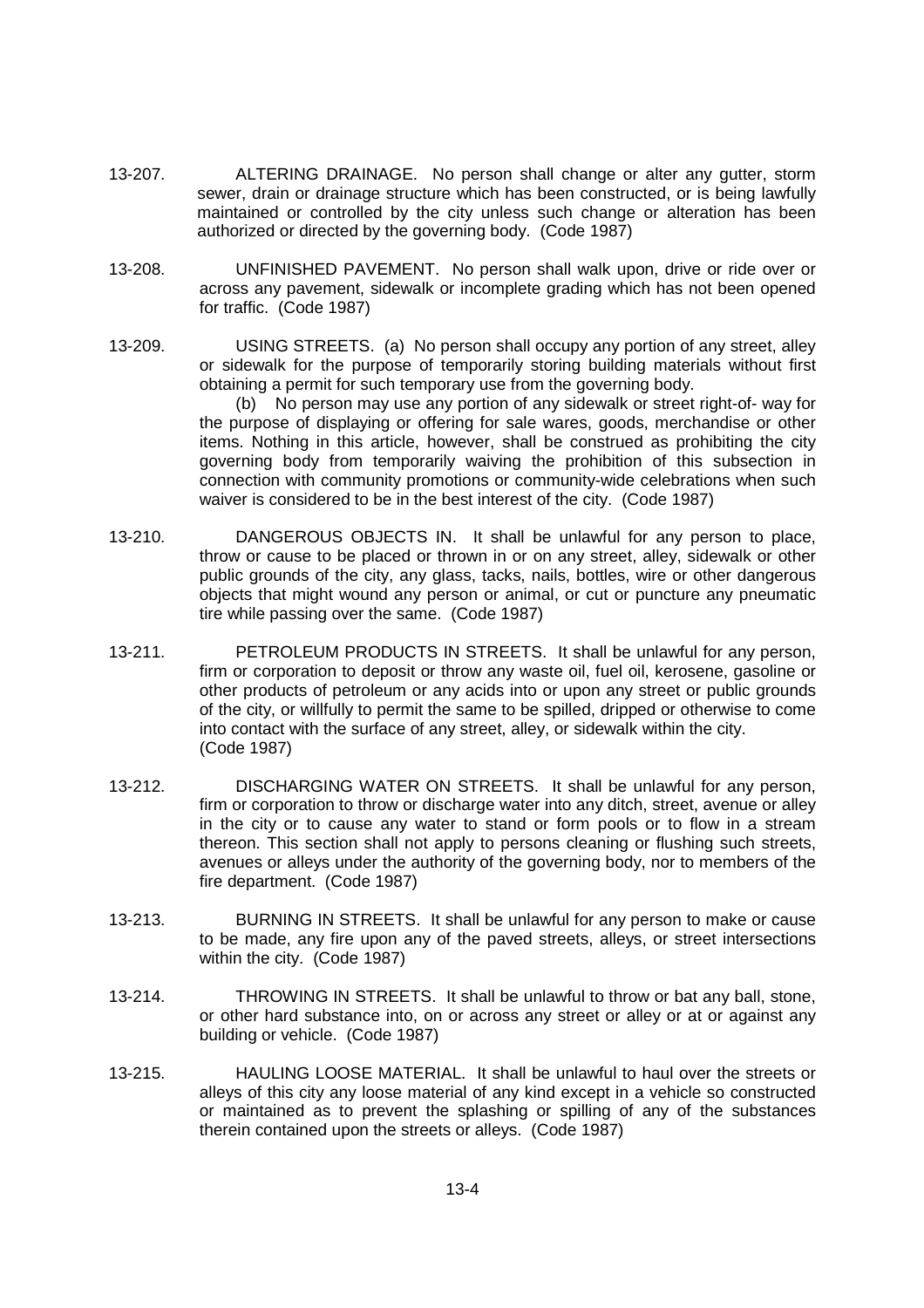- 13-207. ALTERING DRAINAGE. No person shall change or alter any gutter, storm sewer, drain or drainage structure which has been constructed, or is being lawfully maintained or controlled by the city unless such change or alteration has been authorized or directed by the governing body. (Code 1987)
- 13-208. UNFINISHED PAVEMENT. No person shall walk upon, drive or ride over or across any pavement, sidewalk or incomplete grading which has not been opened for traffic. (Code 1987)
- 13-209. USING STREETS. (a) No person shall occupy any portion of any street, alley or sidewalk for the purpose of temporarily storing building materials without first obtaining a permit for such temporary use from the governing body.

(b) No person may use any portion of any sidewalk or street right-of- way for the purpose of displaying or offering for sale wares, goods, merchandise or other items. Nothing in this article, however, shall be construed as prohibiting the city governing body from temporarily waiving the prohibition of this subsection in connection with community promotions or community-wide celebrations when such waiver is considered to be in the best interest of the city. (Code 1987)

- 13-210. DANGEROUS OBJECTS IN. It shall be unlawful for any person to place, throw or cause to be placed or thrown in or on any street, alley, sidewalk or other public grounds of the city, any glass, tacks, nails, bottles, wire or other dangerous objects that might wound any person or animal, or cut or puncture any pneumatic tire while passing over the same. (Code 1987)
- 13-211. PETROLEUM PRODUCTS IN STREETS. It shall be unlawful for any person, firm or corporation to deposit or throw any waste oil, fuel oil, kerosene, gasoline or other products of petroleum or any acids into or upon any street or public grounds of the city, or willfully to permit the same to be spilled, dripped or otherwise to come into contact with the surface of any street, alley, or sidewalk within the city. (Code 1987)
- 13-212. DISCHARGING WATER ON STREETS. It shall be unlawful for any person, firm or corporation to throw or discharge water into any ditch, street, avenue or alley in the city or to cause any water to stand or form pools or to flow in a stream thereon. This section shall not apply to persons cleaning or flushing such streets, avenues or alleys under the authority of the governing body, nor to members of the fire department. (Code 1987)
- 13-213. BURNING IN STREETS. It shall be unlawful for any person to make or cause to be made, any fire upon any of the paved streets, alleys, or street intersections within the city. (Code 1987)
- 13-214. THROWING IN STREETS. It shall be unlawful to throw or bat any ball, stone, or other hard substance into, on or across any street or alley or at or against any building or vehicle. (Code 1987)
- 13-215. HAULING LOOSE MATERIAL. It shall be unlawful to haul over the streets or alleys of this city any loose material of any kind except in a vehicle so constructed or maintained as to prevent the splashing or spilling of any of the substances therein contained upon the streets or alleys. (Code 1987)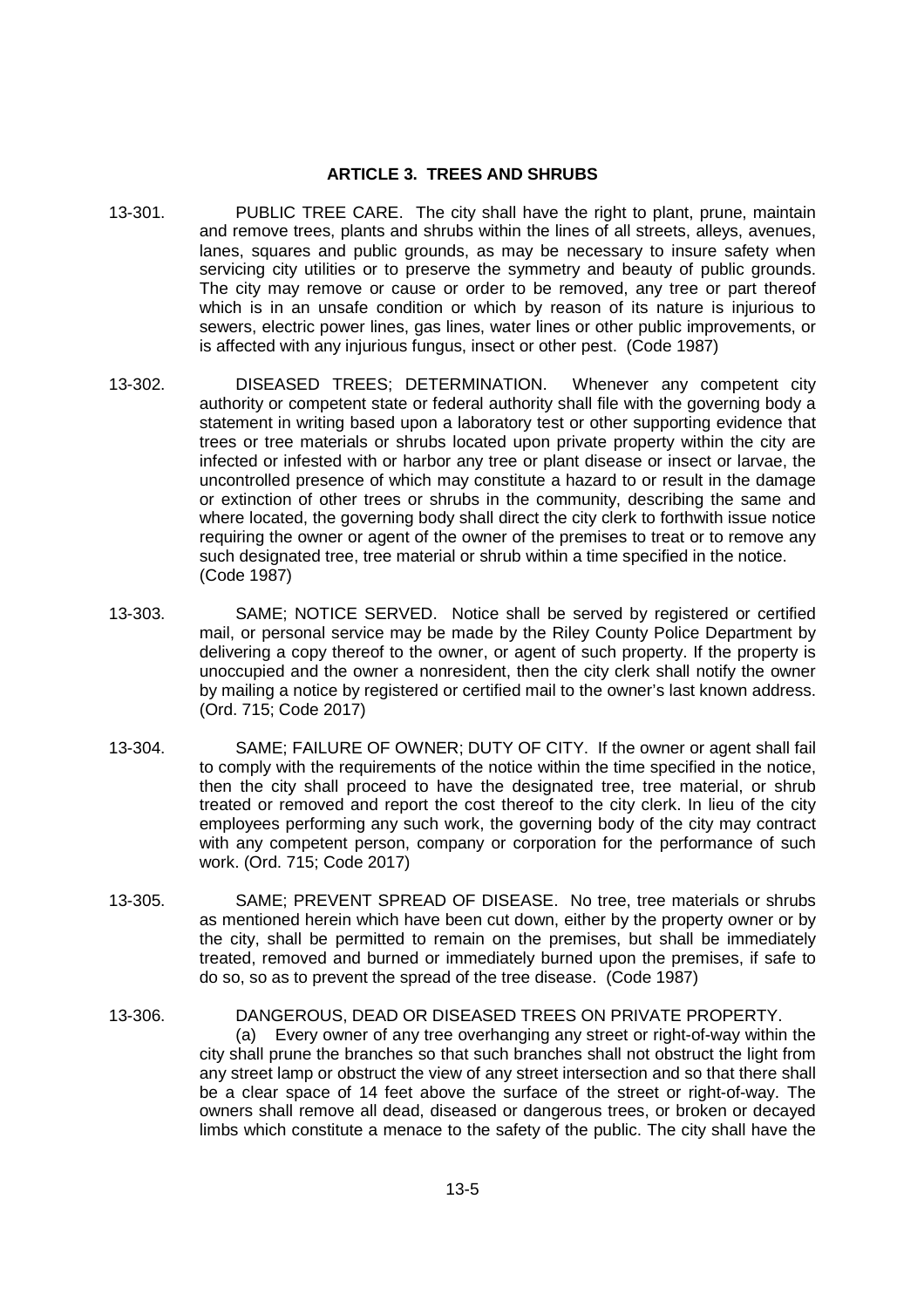#### **ARTICLE 3. TREES AND SHRUBS**

- 13-301. PUBLIC TREE CARE. The city shall have the right to plant, prune, maintain and remove trees, plants and shrubs within the lines of all streets, alleys, avenues, lanes, squares and public grounds, as may be necessary to insure safety when servicing city utilities or to preserve the symmetry and beauty of public grounds. The city may remove or cause or order to be removed, any tree or part thereof which is in an unsafe condition or which by reason of its nature is injurious to sewers, electric power lines, gas lines, water lines or other public improvements, or is affected with any injurious fungus, insect or other pest. (Code 1987)
- 13-302. DISEASED TREES; DETERMINATION. Whenever any competent city authority or competent state or federal authority shall file with the governing body a statement in writing based upon a laboratory test or other supporting evidence that trees or tree materials or shrubs located upon private property within the city are infected or infested with or harbor any tree or plant disease or insect or larvae, the uncontrolled presence of which may constitute a hazard to or result in the damage or extinction of other trees or shrubs in the community, describing the same and where located, the governing body shall direct the city clerk to forthwith issue notice requiring the owner or agent of the owner of the premises to treat or to remove any such designated tree, tree material or shrub within a time specified in the notice. (Code 1987)
- 13-303. SAME; NOTICE SERVED. Notice shall be served by registered or certified mail, or personal service may be made by the Riley County Police Department by delivering a copy thereof to the owner, or agent of such property. If the property is unoccupied and the owner a nonresident, then the city clerk shall notify the owner by mailing a notice by registered or certified mail to the owner's last known address. (Ord. 715; Code 2017)
- 13-304. SAME; FAILURE OF OWNER; DUTY OF CITY. If the owner or agent shall fail to comply with the requirements of the notice within the time specified in the notice, then the city shall proceed to have the designated tree, tree material, or shrub treated or removed and report the cost thereof to the city clerk. In lieu of the city employees performing any such work, the governing body of the city may contract with any competent person, company or corporation for the performance of such work. (Ord. 715; Code 2017)
- 13-305. SAME; PREVENT SPREAD OF DISEASE. No tree, tree materials or shrubs as mentioned herein which have been cut down, either by the property owner or by the city, shall be permitted to remain on the premises, but shall be immediately treated, removed and burned or immediately burned upon the premises, if safe to do so, so as to prevent the spread of the tree disease. (Code 1987)
- 13-306. DANGEROUS, DEAD OR DISEASED TREES ON PRIVATE PROPERTY. (a) Every owner of any tree overhanging any street or right-of-way within the city shall prune the branches so that such branches shall not obstruct the light from any street lamp or obstruct the view of any street intersection and so that there shall be a clear space of 14 feet above the surface of the street or right-of-way. The owners shall remove all dead, diseased or dangerous trees, or broken or decayed limbs which constitute a menace to the safety of the public. The city shall have the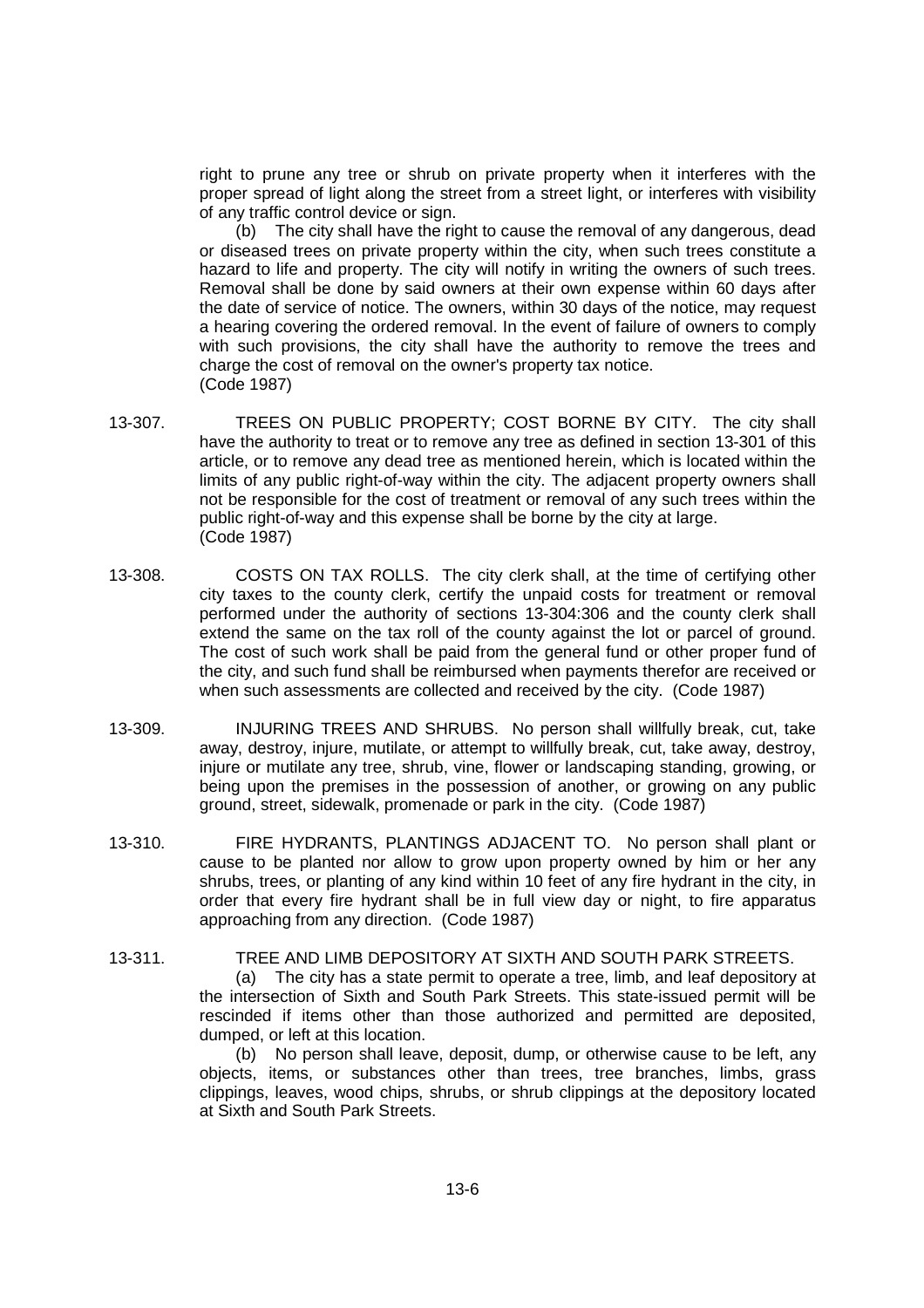right to prune any tree or shrub on private property when it interferes with the proper spread of light along the street from a street light, or interferes with visibility of any traffic control device or sign.

(b) The city shall have the right to cause the removal of any dangerous, dead or diseased trees on private property within the city, when such trees constitute a hazard to life and property. The city will notify in writing the owners of such trees. Removal shall be done by said owners at their own expense within 60 days after the date of service of notice. The owners, within 30 days of the notice, may request a hearing covering the ordered removal. In the event of failure of owners to comply with such provisions, the city shall have the authority to remove the trees and charge the cost of removal on the owner's property tax notice. (Code 1987)

- 13-307. TREES ON PUBLIC PROPERTY; COST BORNE BY CITY. The city shall have the authority to treat or to remove any tree as defined in section 13-301 of this article, or to remove any dead tree as mentioned herein, which is located within the limits of any public right-of-way within the city. The adjacent property owners shall not be responsible for the cost of treatment or removal of any such trees within the public right-of-way and this expense shall be borne by the city at large. (Code 1987)
- 13-308. COSTS ON TAX ROLLS. The city clerk shall, at the time of certifying other city taxes to the county clerk, certify the unpaid costs for treatment or removal performed under the authority of sections 13-304:306 and the county clerk shall extend the same on the tax roll of the county against the lot or parcel of ground. The cost of such work shall be paid from the general fund or other proper fund of the city, and such fund shall be reimbursed when payments therefor are received or when such assessments are collected and received by the city. (Code 1987)
- 13-309. INJURING TREES AND SHRUBS. No person shall willfully break, cut, take away, destroy, injure, mutilate, or attempt to willfully break, cut, take away, destroy, injure or mutilate any tree, shrub, vine, flower or landscaping standing, growing, or being upon the premises in the possession of another, or growing on any public ground, street, sidewalk, promenade or park in the city. (Code 1987)
- 13-310. FIRE HYDRANTS, PLANTINGS ADJACENT TO. No person shall plant or cause to be planted nor allow to grow upon property owned by him or her any shrubs, trees, or planting of any kind within 10 feet of any fire hydrant in the city, in order that every fire hydrant shall be in full view day or night, to fire apparatus approaching from any direction. (Code 1987)

13-311. TREE AND LIMB DEPOSITORY AT SIXTH AND SOUTH PARK STREETS. (a) The city has a state permit to operate a tree, limb, and leaf depository at the intersection of Sixth and South Park Streets. This state-issued permit will be rescinded if items other than those authorized and permitted are deposited, dumped, or left at this location.

(b) No person shall leave, deposit, dump, or otherwise cause to be left, any objects, items, or substances other than trees, tree branches, limbs, grass clippings, leaves, wood chips, shrubs, or shrub clippings at the depository located at Sixth and South Park Streets.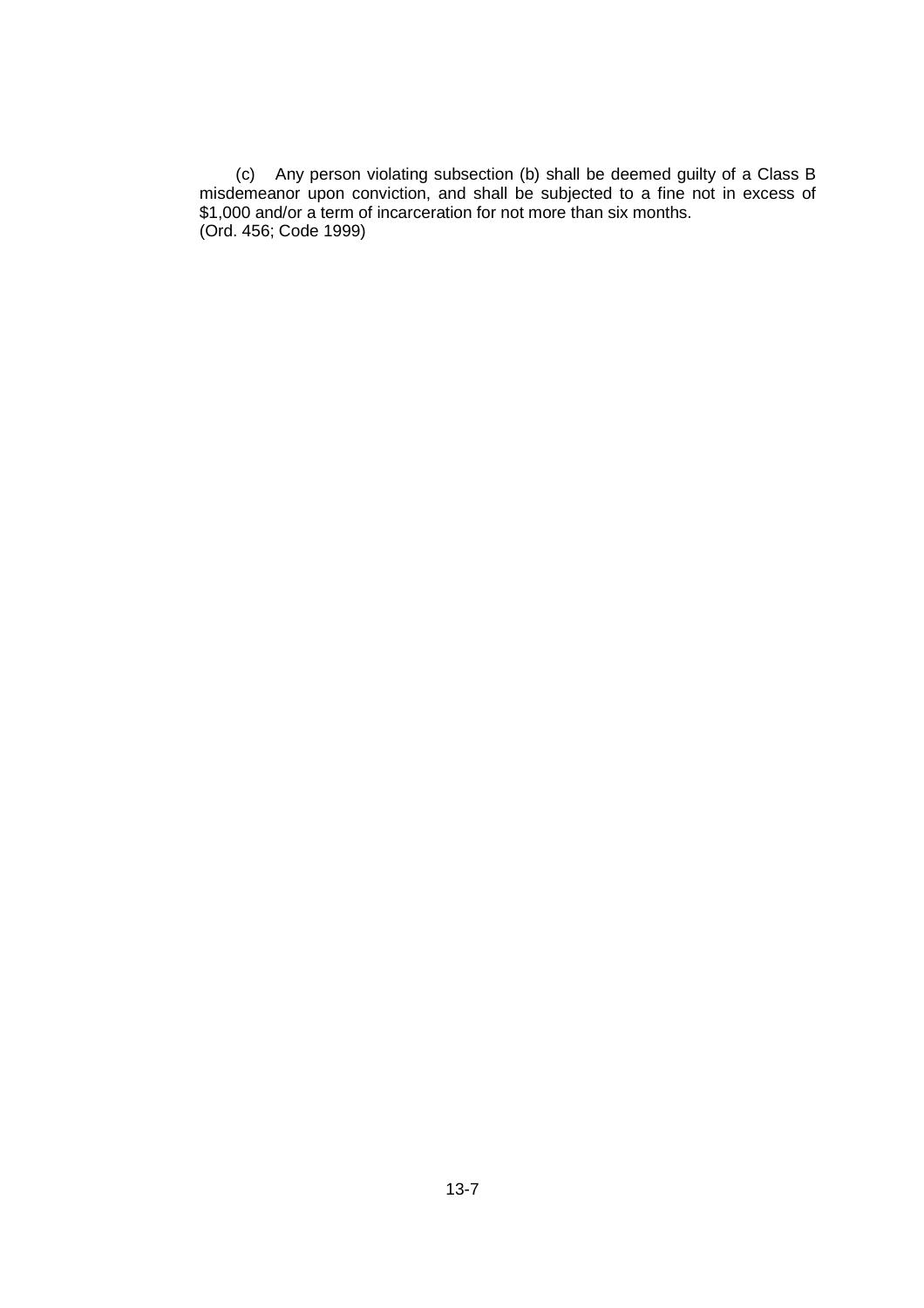(c) Any person violating subsection (b) shall be deemed guilty of a Class B misdemeanor upon conviction, and shall be subjected to a fine not in excess of \$1,000 and/or a term of incarceration for not more than six months. (Ord. 456; Code 1999)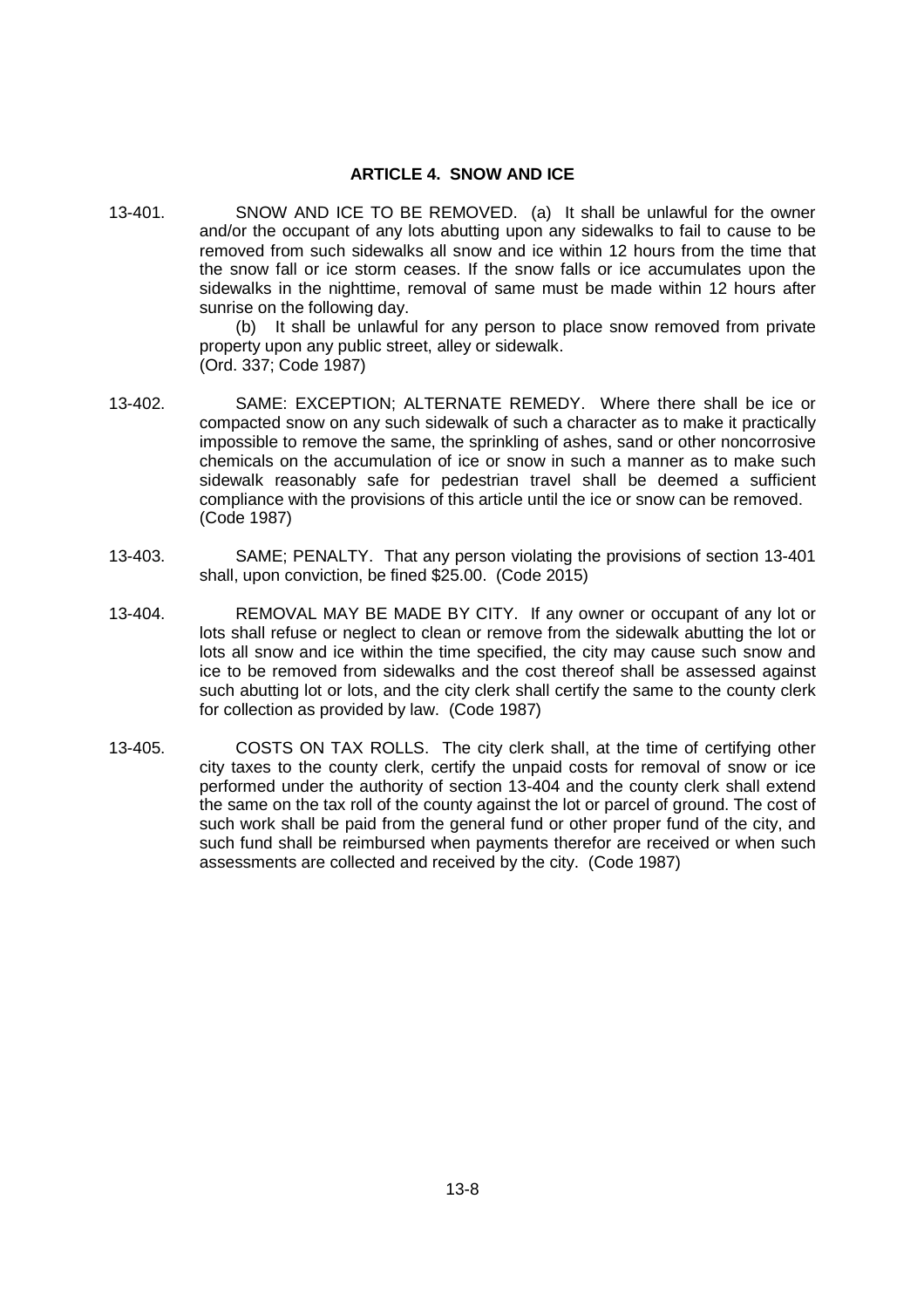### **ARTICLE 4. SNOW AND ICE**

13-401. SNOW AND ICE TO BE REMOVED. (a) It shall be unlawful for the owner and/or the occupant of any lots abutting upon any sidewalks to fail to cause to be removed from such sidewalks all snow and ice within 12 hours from the time that the snow fall or ice storm ceases. If the snow falls or ice accumulates upon the sidewalks in the nighttime, removal of same must be made within 12 hours after sunrise on the following day.

> (b) It shall be unlawful for any person to place snow removed from private property upon any public street, alley or sidewalk. (Ord. 337; Code 1987)

- 13-402. SAME: EXCEPTION; ALTERNATE REMEDY. Where there shall be ice or compacted snow on any such sidewalk of such a character as to make it practically impossible to remove the same, the sprinkling of ashes, sand or other noncorrosive chemicals on the accumulation of ice or snow in such a manner as to make such sidewalk reasonably safe for pedestrian travel shall be deemed a sufficient compliance with the provisions of this article until the ice or snow can be removed. (Code 1987)
- 13-403. SAME; PENALTY. That any person violating the provisions of section 13-401 shall, upon conviction, be fined \$25.00. (Code 2015)
- 13-404. REMOVAL MAY BE MADE BY CITY. If any owner or occupant of any lot or lots shall refuse or neglect to clean or remove from the sidewalk abutting the lot or lots all snow and ice within the time specified, the city may cause such snow and ice to be removed from sidewalks and the cost thereof shall be assessed against such abutting lot or lots, and the city clerk shall certify the same to the county clerk for collection as provided by law. (Code 1987)
- 13-405. COSTS ON TAX ROLLS. The city clerk shall, at the time of certifying other city taxes to the county clerk, certify the unpaid costs for removal of snow or ice performed under the authority of section 13-404 and the county clerk shall extend the same on the tax roll of the county against the lot or parcel of ground. The cost of such work shall be paid from the general fund or other proper fund of the city, and such fund shall be reimbursed when payments therefor are received or when such assessments are collected and received by the city. (Code 1987)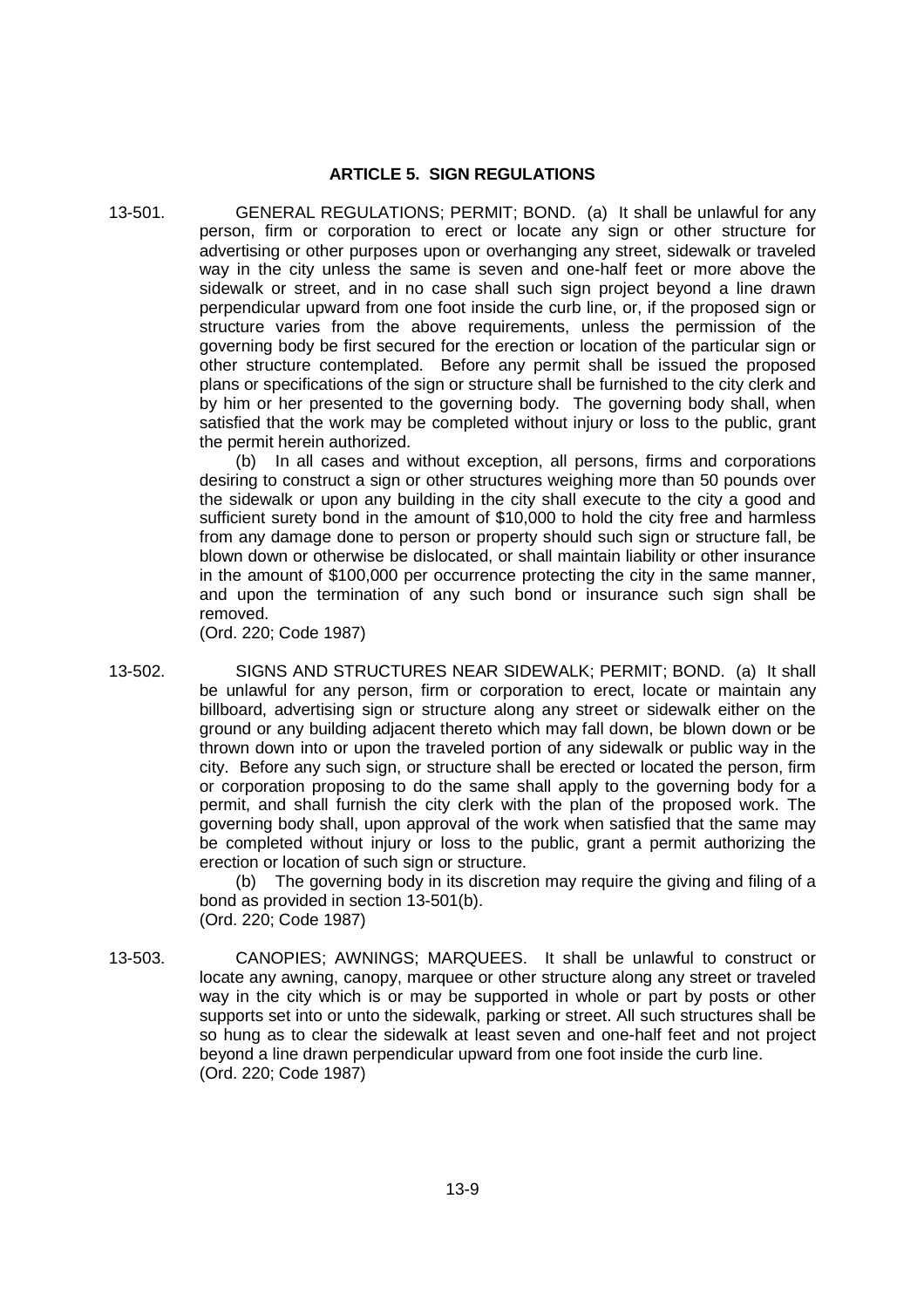# **ARTICLE 5. SIGN REGULATIONS**

13-501. GENERAL REGULATIONS; PERMIT; BOND. (a) It shall be unlawful for any person, firm or corporation to erect or locate any sign or other structure for advertising or other purposes upon or overhanging any street, sidewalk or traveled way in the city unless the same is seven and one-half feet or more above the sidewalk or street, and in no case shall such sign project beyond a line drawn perpendicular upward from one foot inside the curb line, or, if the proposed sign or structure varies from the above requirements, unless the permission of the governing body be first secured for the erection or location of the particular sign or other structure contemplated. Before any permit shall be issued the proposed plans or specifications of the sign or structure shall be furnished to the city clerk and by him or her presented to the governing body. The governing body shall, when satisfied that the work may be completed without injury or loss to the public, grant the permit herein authorized.

> (b) In all cases and without exception, all persons, firms and corporations desiring to construct a sign or other structures weighing more than 50 pounds over the sidewalk or upon any building in the city shall execute to the city a good and sufficient surety bond in the amount of \$10,000 to hold the city free and harmless from any damage done to person or property should such sign or structure fall, be blown down or otherwise be dislocated, or shall maintain liability or other insurance in the amount of \$100,000 per occurrence protecting the city in the same manner, and upon the termination of any such bond or insurance such sign shall be removed.

(Ord. 220; Code 1987)

13-502. SIGNS AND STRUCTURES NEAR SIDEWALK; PERMIT; BOND. (a) It shall be unlawful for any person, firm or corporation to erect, locate or maintain any billboard, advertising sign or structure along any street or sidewalk either on the ground or any building adjacent thereto which may fall down, be blown down or be thrown down into or upon the traveled portion of any sidewalk or public way in the city. Before any such sign, or structure shall be erected or located the person, firm or corporation proposing to do the same shall apply to the governing body for a permit, and shall furnish the city clerk with the plan of the proposed work. The governing body shall, upon approval of the work when satisfied that the same may be completed without injury or loss to the public, grant a permit authorizing the erection or location of such sign or structure.

(b) The governing body in its discretion may require the giving and filing of a bond as provided in section 13-501(b). (Ord. 220; Code 1987)

13-503. CANOPIES; AWNINGS; MARQUEES. It shall be unlawful to construct or locate any awning, canopy, marquee or other structure along any street or traveled way in the city which is or may be supported in whole or part by posts or other supports set into or unto the sidewalk, parking or street. All such structures shall be so hung as to clear the sidewalk at least seven and one-half feet and not project beyond a line drawn perpendicular upward from one foot inside the curb line. (Ord. 220; Code 1987)